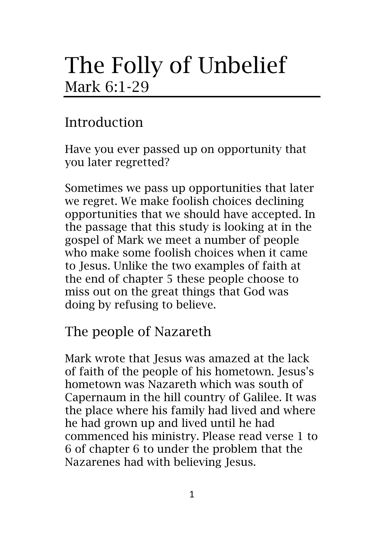# The Folly of Unbelief Mark 6:1-29

# Introduction

Have you ever passed up on opportunity that you later regretted?

Sometimes we pass up opportunities that later we regret. We make foolish choices declining opportunities that we should have accepted. In the passage that this study is looking at in the gospel of Mark we meet a number of people who make some foolish choices when it came to Jesus. Unlike the two examples of faith at the end of chapter 5 these people choose to miss out on the great things that God was doing by refusing to believe.

## The people of Nazareth

Mark wrote that Jesus was amazed at the lack of faith of the people of his hometown. Jesus's hometown was Nazareth which was south of Capernaum in the hill country of Galilee. It was the place where his family had lived and where he had grown up and lived until he had commenced his ministry. Please read verse 1 to 6 of chapter 6 to under the problem that the Nazarenes had with believing Jesus.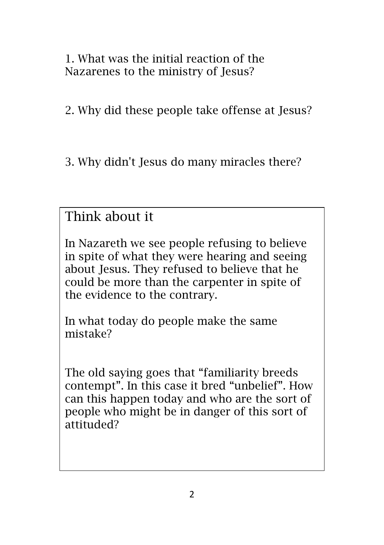1. What was the initial reaction of the Nazarenes to the ministry of Jesus?

2. Why did these people take offense at Jesus?

3. Why didn't Jesus do many miracles there?

Think about it

In Nazareth we see people refusing to believe in spite of what they were hearing and seeing about Jesus. They refused to believe that he could be more than the carpenter in spite of the evidence to the contrary.

In what today do people make the same mistake?

The old saying goes that "familiarity breeds contempt". In this case it bred "unbelief". How can this happen today and who are the sort of people who might be in danger of this sort of attituded?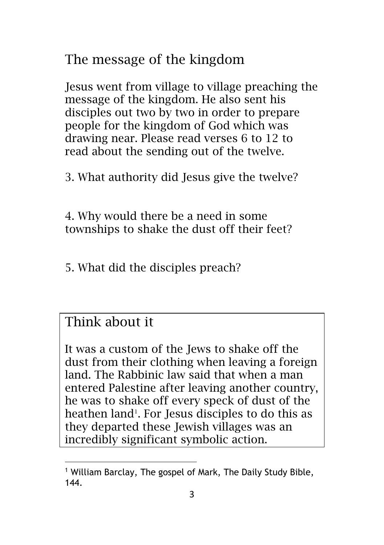The message of the kingdom

Jesus went from village to village preaching the message of the kingdom. He also sent his disciples out two by two in order to prepare people for the kingdom of God which was drawing near. Please read verses 6 to 12 to read about the sending out of the twelve.

3. What authority did Jesus give the twelve?

4. Why would there be a need in some townships to shake the dust off their feet?

5. What did the disciples preach?

#### Think about it

It was a custom of the Jews to shake off the dust from their clothing when leaving a foreign land. The Rabbinic law said that when a man entered Palestine after leaving another country, he was to shake off every speck of dust of the heathen land<sup>1</sup>. For Jesus disciples to do this as they departed these Jewish villages was an incredibly significant symbolic action.

<sup>1</sup> William Barclay, The gospel of Mark, The Daily Study Bible, 144.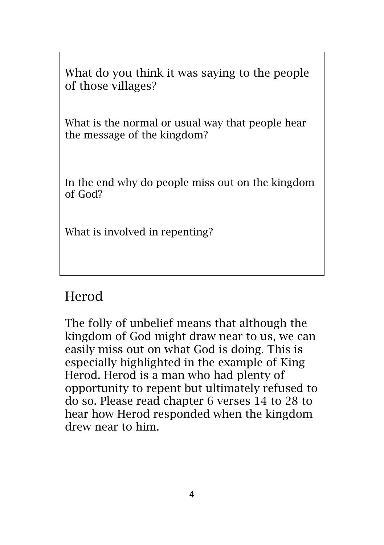What do you think it was saying to the people of those villages?

What is the normal or usual way that people hear the message of the kingdom?

In the end why do people miss out on the kingdom of God?

What is involved in repenting?

### Herod

The folly of unbelief means that although the kingdom of God might draw near to us, we can easily miss out on what God is doing. This is especially highlighted in the example of King Herod. Herod is a man who had plenty of opportunity to repent but ultimately refused to do so. Please read chapter 6 verses 14 to 28 to hear how Herod responded when the kingdom drew near to him.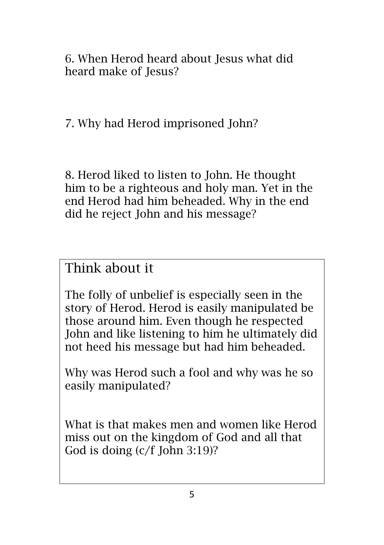6. When Herod heard about Jesus what did heard make of Jesus?

7. Why had Herod imprisoned John?

8. Herod liked to listen to John. He thought him to be a righteous and holy man. Yet in the end Herod had him beheaded. Why in the end did he reject John and his message?

#### Think about it

The folly of unbelief is especially seen in the story of Herod. Herod is easily manipulated be those around him. Even though he respected John and like listening to him he ultimately did not heed his message but had him beheaded.

Why was Herod such a fool and why was he so easily manipulated?

What is that makes men and women like Herod miss out on the kingdom of God and all that God is doing (c/f John 3:19)?